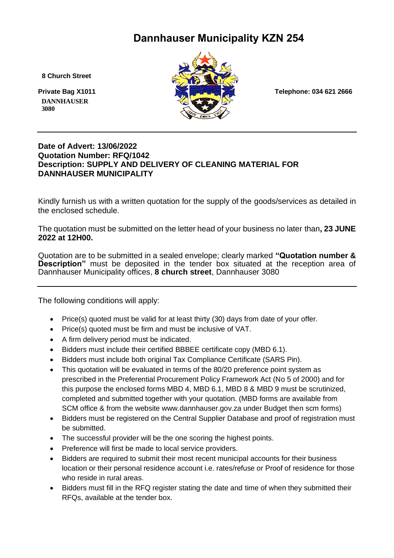# **Dannhauser Municipality KZN 254**

 **8 Church Street**

 **DANNHAUSER 3080** 



### **Date of Advert: 13/06/2022 Quotation Number: RFQ/1042 Description: SUPPLY AND DELIVERY OF CLEANING MATERIAL FOR DANNHAUSER MUNICIPALITY**

Kindly furnish us with a written quotation for the supply of the goods/services as detailed in the enclosed schedule.

The quotation must be submitted on the letter head of your business no later than**, 23 JUNE 2022 at 12H00.**

Quotation are to be submitted in a sealed envelope; clearly marked **"Quotation number & Description"** must be deposited in the tender box situated at the reception area of Dannhauser Municipality offices, **8 church street**, Dannhauser 3080

The following conditions will apply:

- Price(s) quoted must be valid for at least thirty (30) days from date of your offer.
- Price(s) quoted must be firm and must be inclusive of VAT.
- A firm delivery period must be indicated.
- Bidders must include their certified BBBEE certificate copy (MBD 6.1).
- Bidders must include both original Tax Compliance Certificate (SARS Pin).
- This quotation will be evaluated in terms of the 80/20 preference point system as prescribed in the Preferential Procurement Policy Framework Act (No 5 of 2000) and for this purpose the enclosed forms MBD 4, MBD 6.1, MBD 8 & MBD 9 must be scrutinized, completed and submitted together with your quotation. (MBD forms are available from SCM office & from the website www.dannhauser.gov.za under Budget then scm forms)
- Bidders must be registered on the Central Supplier Database and proof of registration must be submitted.
- The successful provider will be the one scoring the highest points.
- Preference will first be made to local service providers.
- Bidders are required to submit their most recent municipal accounts for their business location or their personal residence account i.e. rates/refuse or Proof of residence for those who reside in rural areas.
- Bidders must fill in the RFQ register stating the date and time of when they submitted their RFQs, available at the tender box.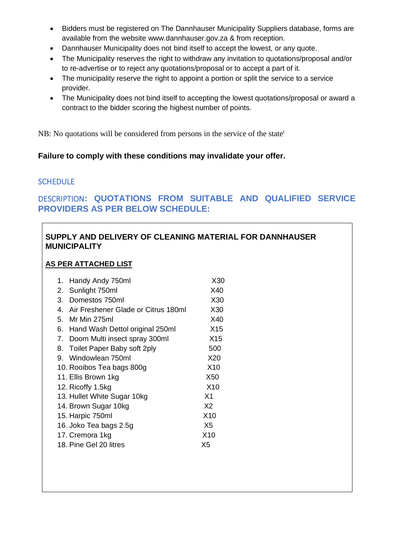- Bidders must be registered on The Dannhauser Municipality Suppliers database, forms are available from the website www.dannhauser.gov.za & from reception.
- Dannhauser Municipality does not bind itself to accept the lowest, or any quote.
- The Municipality reserves the right to withdraw any invitation to quotations/proposal and/or to re-advertise or to reject any quotations/proposal or to accept a part of it.
- The municipality reserve the right to appoint a portion or split the service to a service provider.
- The Municipality does not bind itself to accepting the lowest quotations/proposal or award a contract to the bidder scoring the highest number of points.

NB: No quotations will be considered from persons in the service of the state<sup>i</sup>

## **Failure to comply with these conditions may invalidate your offer.**

## **SCHEDULE**

# DESCRIPTION**: QUOTATIONS FROM SUITABLE AND QUALIFIED SERVICE PROVIDERS AS PER BELOW SCHEDULE:**

# **SUPPLY AND DELIVERY OF CLEANING MATERIAL FOR DANNHAUSER MUNICIPALITY**

### **AS PER ATTACHED LIST**

| Handy Andy 750ml<br>1.                                      | X30             |
|-------------------------------------------------------------|-----------------|
| 2. Sunlight 750ml                                           | X40             |
| Domestos 750ml<br>3.                                        | X30             |
| Air Freshener Glade or Citrus 180ml<br>$\mathbf{4}_{\cdot}$ | X30             |
| 5.<br>Mr Min 275ml                                          | X40             |
| 6.<br>Hand Wash Dettol original 250ml                       | X15             |
| 7.<br>Doom Multi insect spray 300ml                         | X15             |
| Toilet Paper Baby soft 2ply<br>8.                           | 500             |
| Windowlean 750ml<br>9.                                      | X20             |
| 10. Rooibos Tea bags 800g                                   | X <sub>10</sub> |
| 11. Ellis Brown 1kg                                         | X50             |
| 12. Ricoffy 1.5kg                                           | X10             |
| 13. Hullet White Sugar 10kg                                 | X <sub>1</sub>  |
| 14. Brown Sugar 10kg                                        | X <sub>2</sub>  |
| 15. Harpic 750ml                                            | X10             |
| 16. Joko Tea bags 2.5g                                      | X <sub>5</sub>  |
| 17. Cremora 1kg                                             | X <sub>10</sub> |
| 18. Pine Gel 20 litres                                      | X5              |